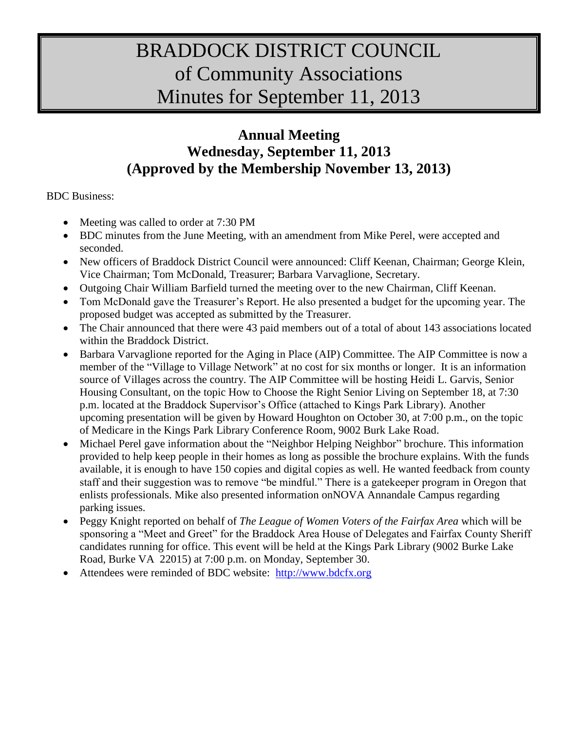# BRADDOCK DISTRICT COUNCIL of Community Associations Minutes for September 11, 2013

# **Annual Meeting Wednesday, September 11, 2013 (Approved by the Membership November 13, 2013)**

BDC Business:

- Meeting was called to order at 7:30 PM
- BDC minutes from the June Meeting, with an amendment from Mike Perel, were accepted and seconded.
- New officers of Braddock District Council were announced: Cliff Keenan, Chairman; George Klein, Vice Chairman; Tom McDonald, Treasurer; Barbara Varvaglione, Secretary.
- Outgoing Chair William Barfield turned the meeting over to the new Chairman, Cliff Keenan.
- Tom McDonald gave the Treasurer's Report. He also presented a budget for the upcoming year. The proposed budget was accepted as submitted by the Treasurer.
- The Chair announced that there were 43 paid members out of a total of about 143 associations located within the Braddock District.
- Barbara Varvaglione reported for the Aging in Place (AIP) Committee. The AIP Committee is now a member of the "Village to Village Network" at no cost for six months or longer. It is an information source of Villages across the country. The AIP Committee will be hosting Heidi L. Garvis, Senior Housing Consultant, on the topic How to Choose the Right Senior Living on September 18, at 7:30 p.m. located at the Braddock Supervisor's Office (attached to Kings Park Library). Another upcoming presentation will be given by Howard Houghton on October 30, at 7:00 p.m., on the topic of Medicare in the Kings Park Library Conference Room, 9002 Burk Lake Road.
- Michael Perel gave information about the "Neighbor Helping Neighbor" brochure. This information provided to help keep people in their homes as long as possible the brochure explains. With the funds available, it is enough to have 150 copies and digital copies as well. He wanted feedback from county staff and their suggestion was to remove "be mindful." There is a gatekeeper program in Oregon that enlists professionals. Mike also presented information onNOVA Annandale Campus regarding parking issues.
- Peggy Knight reported on behalf of *The League of Women Voters of the Fairfax Area* which will be sponsoring a "Meet and Greet" for the Braddock Area House of Delegates and Fairfax County Sheriff candidates running for office. This event will be held at the Kings Park Library (9002 Burke Lake Road, Burke VA 22015) at 7:00 p.m. on Monday, September 30.
- Attendees were reminded of BDC website: [http://www.bdcfx.org](http://www.bdcfx.org/)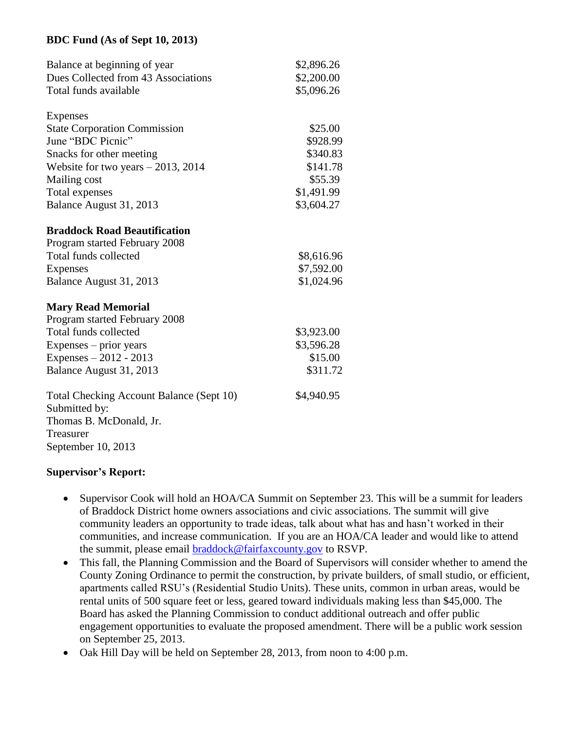#### **BDC Fund (As of Sept 10, 2013)**

| Balance at beginning of year<br>Dues Collected from 43 Associations<br>Total funds available | \$2,896.26<br>\$2,200.00<br>\$5,096.26 |
|----------------------------------------------------------------------------------------------|----------------------------------------|
| Expenses                                                                                     |                                        |
| <b>State Corporation Commission</b>                                                          | \$25.00                                |
| June "BDC Picnic"                                                                            | \$928.99                               |
| Snacks for other meeting                                                                     | \$340.83                               |
| Website for two years $-2013$ , 2014                                                         | \$141.78                               |
| Mailing cost                                                                                 | \$55.39                                |
| Total expenses                                                                               | \$1,491.99                             |
| Balance August 31, 2013                                                                      | \$3,604.27                             |
| <b>Braddock Road Beautification</b>                                                          |                                        |
| Program started February 2008                                                                |                                        |
| Total funds collected                                                                        | \$8,616.96                             |
| <b>Expenses</b>                                                                              | \$7,592.00                             |
| Balance August 31, 2013                                                                      | \$1,024.96                             |
| <b>Mary Read Memorial</b>                                                                    |                                        |
| Program started February 2008                                                                |                                        |
| Total funds collected                                                                        | \$3,923.00                             |
| Expenses - prior years                                                                       | \$3,596.28                             |
| Expenses $-2012 - 2013$                                                                      | \$15.00                                |
| Balance August 31, 2013                                                                      | \$311.72                               |
| Total Checking Account Balance (Sept 10)<br>Submitted by:                                    | \$4,940.95                             |
| Thomas B. McDonald, Jr.<br>Treasurer                                                         |                                        |
| September 10, 2013                                                                           |                                        |

#### **Supervisor's Report:**

- Supervisor Cook will hold an HOA/CA Summit on September 23. This will be a summit for leaders of Braddock District home owners associations and civic associations. The summit will give community leaders an opportunity to trade ideas, talk about what has and hasn't worked in their communities, and increase communication. If you are an HOA/CA leader and would like to attend the summit, please email [braddock@fairfaxcounty.gov](mailto:braddock@fairfaxcounty.gov) to RSVP.
- This fall, the Planning Commission and the Board of Supervisors will consider whether to amend the County Zoning Ordinance to permit the construction, by private builders, of small studio, or efficient, apartments called RSU's (Residential Studio Units). These units, common in urban areas, would be rental units of 500 square feet or less, geared toward individuals making less than \$45,000. The Board has asked the Planning Commission to conduct additional outreach and offer public engagement opportunities to evaluate the proposed amendment. There will be a public work session on September 25, 2013.
- Oak Hill Day will be held on September 28, 2013, from noon to 4:00 p.m.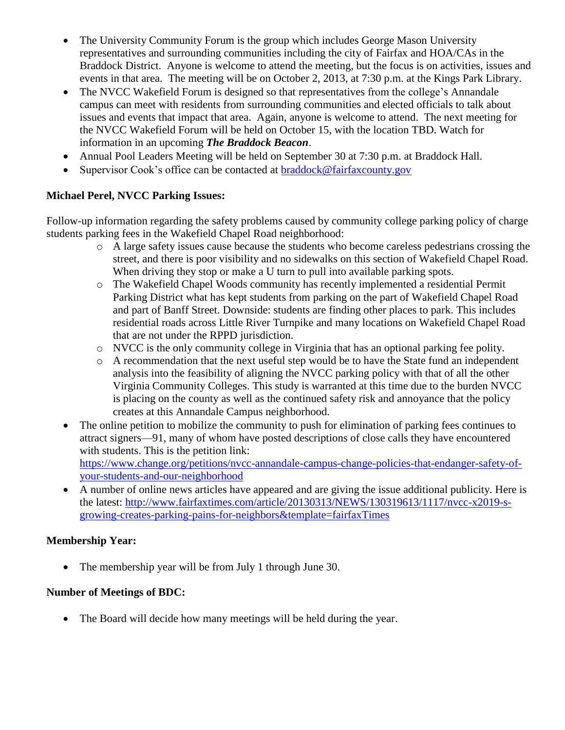- The University Community Forum is the group which includes George Mason University representatives and surrounding communities including the city of Fairfax and HOA/CAs in the Braddock District. Anyone is welcome to attend the meeting, but the focus is on activities, issues and events in that area. The meeting will be on October 2, 2013, at 7:30 p.m. at the Kings Park Library.
- The NVCC Wakefield Forum is designed so that representatives from the college's Annandale campus can meet with residents from surrounding communities and elected officials to talk about issues and events that impact that area. Again, anyone is welcome to attend. The next meeting for the NVCC Wakefield Forum will be held on October 15, with the location TBD. Watch for information in an upcoming *The Braddock Beacon*.
- Annual Pool Leaders Meeting will be held on September 30 at 7:30 p.m. at Braddock Hall.
- Supervisor Cook's office can be contacted at [braddock@fairfaxcounty.gov](mailto:braddock@fairfaxcounty.gov)

## **Michael Perel, NVCC Parking Issues:**

Follow-up information regarding the safety problems caused by community college parking policy of charge students parking fees in the Wakefield Chapel Road neighborhood:

- o A large safety issues cause because the students who become careless pedestrians crossing the street, and there is poor visibility and no sidewalks on this section of Wakefield Chapel Road. When driving they stop or make a U turn to pull into available parking spots.
- o The Wakefield Chapel Woods community has recently implemented a residential Permit Parking District what has kept students from parking on the part of Wakefield Chapel Road and part of Banff Street. Downside: students are finding other places to park. This includes residential roads across Little River Turnpike and many locations on Wakefield Chapel Road that are not under the RPPD jurisdiction.
- o NVCC is the only community college in Virginia that has an optional parking fee polity.
- o A recommendation that the next useful step would be to have the State fund an independent analysis into the feasibility of aligning the NVCC parking policy with that of all the other Virginia Community Colleges. This study is warranted at this time due to the burden NVCC is placing on the county as well as the continued safety risk and annoyance that the policy creates at this Annandale Campus neighborhood.
- The online petition to mobilize the community to push for elimination of parking fees continues to attract signers—91, many of whom have posted descriptions of close calls they have encountered with students. This is the petition link: [https://www.change.org/petitions/nvcc-annandale-campus-change-policies-that-endanger-safety-of](https://www.change.org/petitions/nvcc-annandale-campus-change-policies-that-endanger-safety-of-your-students-and-our-neighborhood)[your-students-and-our-neighborhood](https://www.change.org/petitions/nvcc-annandale-campus-change-policies-that-endanger-safety-of-your-students-and-our-neighborhood)
- A number of online news articles have appeared and are giving the issue additional publicity. Here is the latest: [http://www.fairfaxtimes.com/article/20130313/NEWS/130319613/1117/nvcc-x2019-s](http://www.fairfaxtimes.com/article/20130313/NEWS/130319613/1117/nvcc-x2019-s-growing-creates-parking-pains-for-neighbors&template=fairfaxTimes)[growing-creates-parking-pains-for-neighbors&template=fairfaxTimes](http://www.fairfaxtimes.com/article/20130313/NEWS/130319613/1117/nvcc-x2019-s-growing-creates-parking-pains-for-neighbors&template=fairfaxTimes)

# **Membership Year:**

• The membership year will be from July 1 through June 30.

### **Number of Meetings of BDC:**

• The Board will decide how many meetings will be held during the year.